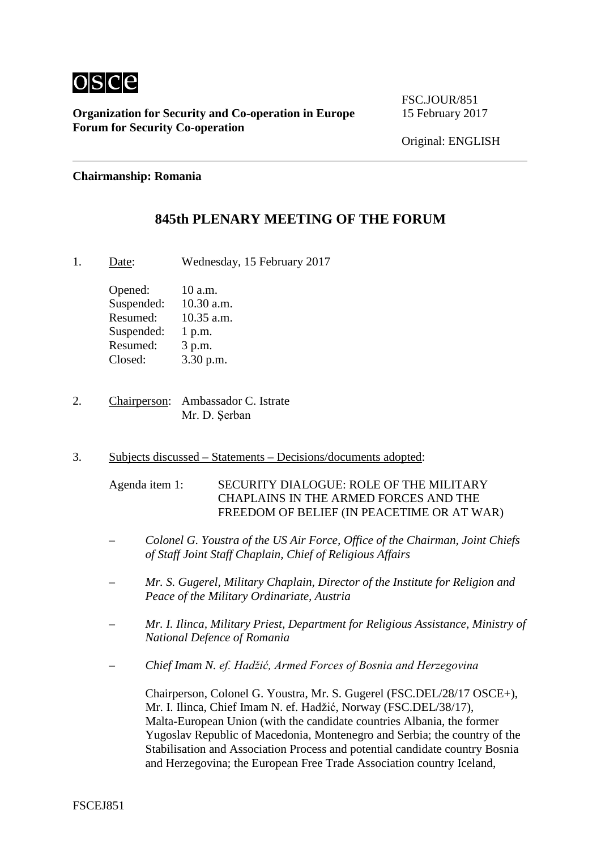

**Organization for Security and Co-operation in Europe** 15 February 2017 **Forum for Security Co-operation**

FSC.JOUR/851

Original: ENGLISH

#### **Chairmanship: Romania**

## **845th PLENARY MEETING OF THE FORUM**

1. Date: Wednesday, 15 February 2017

Opened: 10 a.m. Suspended: 10.30 a.m. Resumed: 10.35 a.m. Suspended: 1 p.m. Resumed: 3 p.m. Closed: 3.30 p.m.

- 2. Chairperson: Ambassador C. Istrate Mr. D. Şerban
- 3. Subjects discussed Statements Decisions/documents adopted:

Agenda item 1: SECURITY DIALOGUE: ROLE OF THE MILITARY CHAPLAINS IN THE ARMED FORCES AND THE FREEDOM OF BELIEF (IN PEACETIME OR AT WAR)

- *– Colonel G. Youstra of the US Air Force, Office of the Chairman, Joint Chiefs of Staff Joint Staff Chaplain, Chief of Religious Affairs*
- *– Mr. S. Gugerel, Military Chaplain, Director of the Institute for Religion and Peace of the Military Ordinariate, Austria*
- *– Mr. I. Ilinca, Military Priest, Department for Religious Assistance, Ministry of National Defence of Romania*
- *– Chief Imam N. ef. Hadžić, Armed Forces of Bosnia and Herzegovina*

Chairperson, Colonel G. Youstra, Mr. S. Gugerel (FSC.DEL/28/17 OSCE+), Mr. I. Ilinca, Chief Imam N. ef. Hadžić, Norway (FSC.DEL/38/17), Malta-European Union (with the candidate countries Albania, the former Yugoslav Republic of Macedonia, Montenegro and Serbia; the country of the Stabilisation and Association Process and potential candidate country Bosnia and Herzegovina; the European Free Trade Association country Iceland,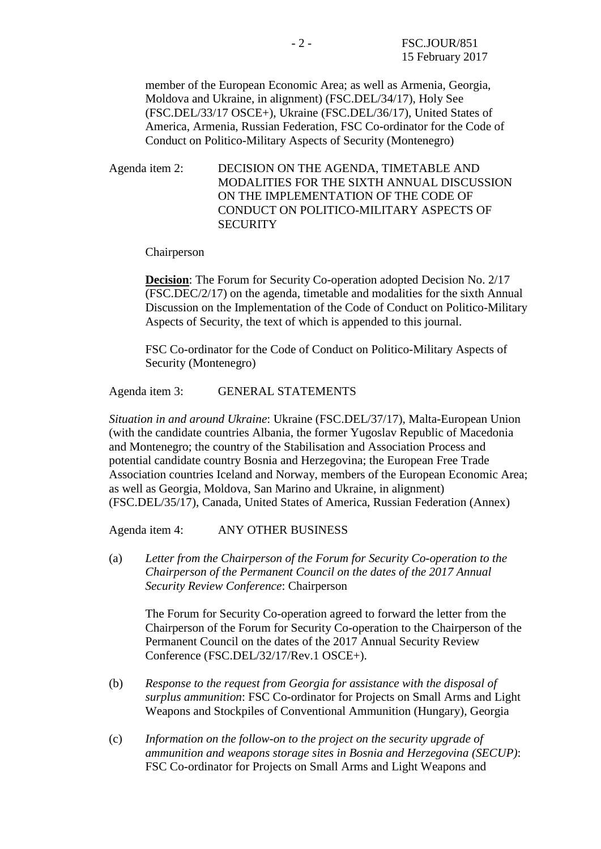member of the European Economic Area; as well as Armenia, Georgia, Moldova and Ukraine, in alignment) (FSC.DEL/34/17), Holy See (FSC.DEL/33/17 OSCE+), Ukraine (FSC.DEL/36/17), United States of America, Armenia, Russian Federation, FSC Co-ordinator for the Code of Conduct on Politico-Military Aspects of Security (Montenegro)

Agenda item 2: DECISION ON THE AGENDA, TIMETABLE AND MODALITIES FOR THE SIXTH ANNUAL DISCUSSION ON THE IMPLEMENTATION OF THE CODE OF CONDUCT ON POLITICO-MILITARY ASPECTS OF **SECURITY** 

Chairperson

**Decision:** The Forum for Security Co-operation adopted Decision No. 2/17 (FSC.DEC/2/17) on the agenda, timetable and modalities for the sixth Annual Discussion on the Implementation of the Code of Conduct on Politico-Military Aspects of Security, the text of which is appended to this journal.

FSC Co-ordinator for the Code of Conduct on Politico-Military Aspects of Security (Montenegro)

Agenda item 3: GENERAL STATEMENTS

*Situation in and around Ukraine*: Ukraine (FSC.DEL/37/17), Malta-European Union (with the candidate countries Albania, the former Yugoslav Republic of Macedonia and Montenegro; the country of the Stabilisation and Association Process and potential candidate country Bosnia and Herzegovina; the European Free Trade Association countries Iceland and Norway, members of the European Economic Area; as well as Georgia, Moldova, San Marino and Ukraine, in alignment) (FSC.DEL/35/17), Canada, United States of America, Russian Federation (Annex)

Agenda item 4: ANY OTHER BUSINESS

(a) *Letter from the Chairperson of the Forum for Security Co-operation to the Chairperson of the Permanent Council on the dates of the 2017 Annual Security Review Conference*: Chairperson

The Forum for Security Co-operation agreed to forward the letter from the Chairperson of the Forum for Security Co-operation to the Chairperson of the Permanent Council on the dates of the 2017 Annual Security Review Conference (FSC.DEL/32/17/Rev.1 OSCE+).

- (b) *Response to the request from Georgia for assistance with the disposal of surplus ammunition*: FSC Co-ordinator for Projects on Small Arms and Light Weapons and Stockpiles of Conventional Ammunition (Hungary), Georgia
- (c) *Information on the follow-on to the project on the security upgrade of ammunition and weapons storage sites in Bosnia and Herzegovina (SECUP)*: FSC Co-ordinator for Projects on Small Arms and Light Weapons and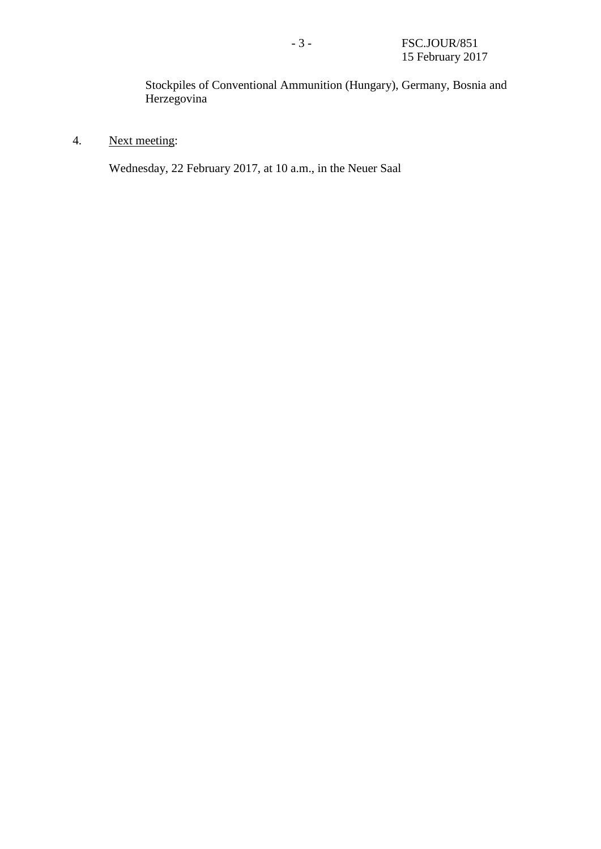Stockpiles of Conventional Ammunition (Hungary), Germany, Bosnia and Herzegovina

4. Next meeting:

Wednesday, 22 February 2017, at 10 a.m., in the Neuer Saal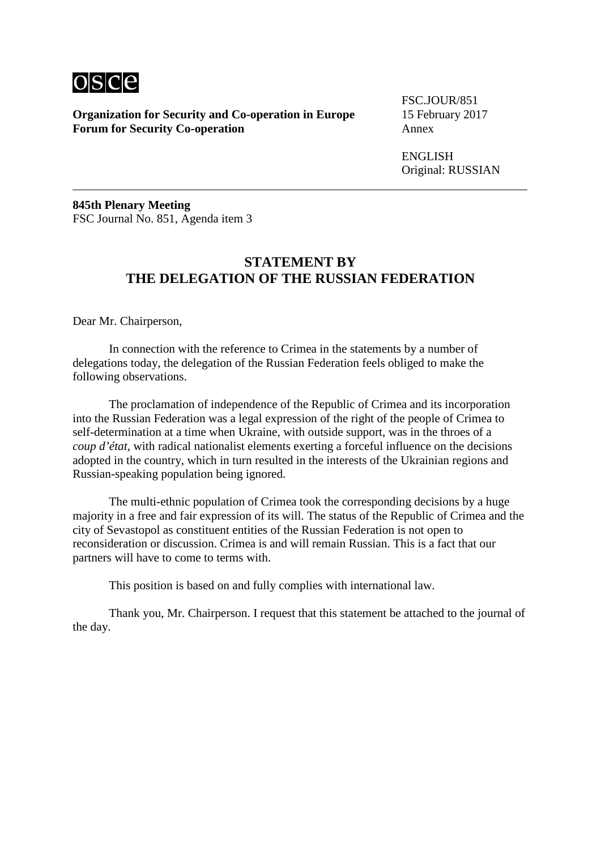

**Organization for Security and Co-operation in Europe** 15 February 2017 **Forum for Security Co-operation** 

FSC.JOUR/851

ENGLISH Original: RUSSIAN

**845th Plenary Meeting** FSC Journal No. 851, Agenda item 3

# **STATEMENT BY THE DELEGATION OF THE RUSSIAN FEDERATION**

Dear Mr. Chairperson,

In connection with the reference to Crimea in the statements by a number of delegations today, the delegation of the Russian Federation feels obliged to make the following observations.

The proclamation of independence of the Republic of Crimea and its incorporation into the Russian Federation was a legal expression of the right of the people of Crimea to self-determination at a time when Ukraine, with outside support, was in the throes of a *coup d'état*, with radical nationalist elements exerting a forceful influence on the decisions adopted in the country, which in turn resulted in the interests of the Ukrainian regions and Russian-speaking population being ignored.

The multi-ethnic population of Crimea took the corresponding decisions by a huge majority in a free and fair expression of its will. The status of the Republic of Crimea and the city of Sevastopol as constituent entities of the Russian Federation is not open to reconsideration or discussion. Crimea is and will remain Russian. This is a fact that our partners will have to come to terms with.

This position is based on and fully complies with international law.

Thank you, Mr. Chairperson. I request that this statement be attached to the journal of the day.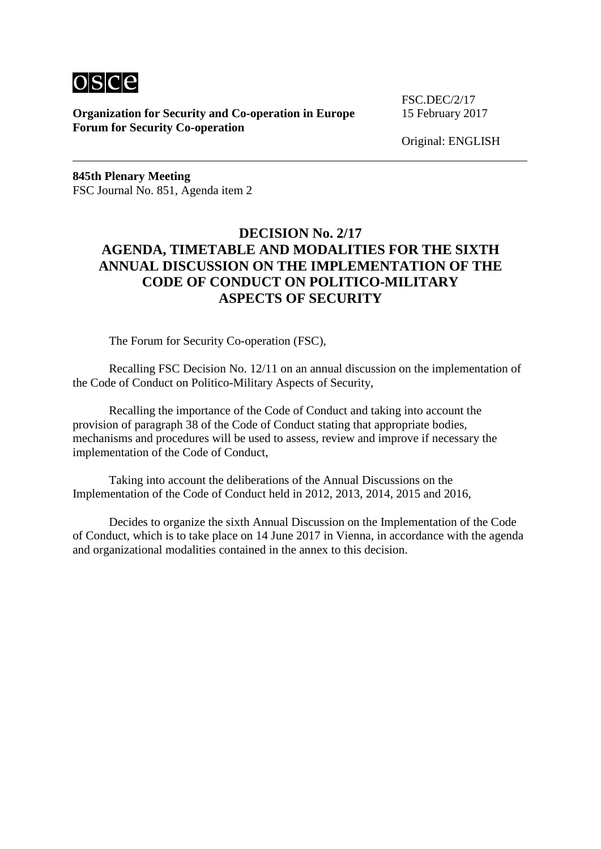

**Organization for Security and Co-operation in Europe** 15 February 2017 **Forum for Security Co-operation**

FSC.DEC/2/17

Original: ENGLISH

**845th Plenary Meeting** FSC Journal No. 851, Agenda item 2

# **DECISION No. 2/17 AGENDA, TIMETABLE AND MODALITIES FOR THE SIXTH ANNUAL DISCUSSION ON THE IMPLEMENTATION OF THE CODE OF CONDUCT ON POLITICO-MILITARY ASPECTS OF SECURITY**

The Forum for Security Co-operation (FSC),

Recalling FSC Decision No. 12/11 on an annual discussion on the implementation of the Code of Conduct on Politico-Military Aspects of Security,

Recalling the importance of the Code of Conduct and taking into account the provision of paragraph 38 of the Code of Conduct stating that appropriate bodies, mechanisms and procedures will be used to assess, review and improve if necessary the implementation of the Code of Conduct,

Taking into account the deliberations of the Annual Discussions on the Implementation of the Code of Conduct held in 2012, 2013, 2014, 2015 and 2016,

Decides to organize the sixth Annual Discussion on the Implementation of the Code of Conduct, which is to take place on 14 June 2017 in Vienna, in accordance with the agenda and organizational modalities contained in the annex to this decision.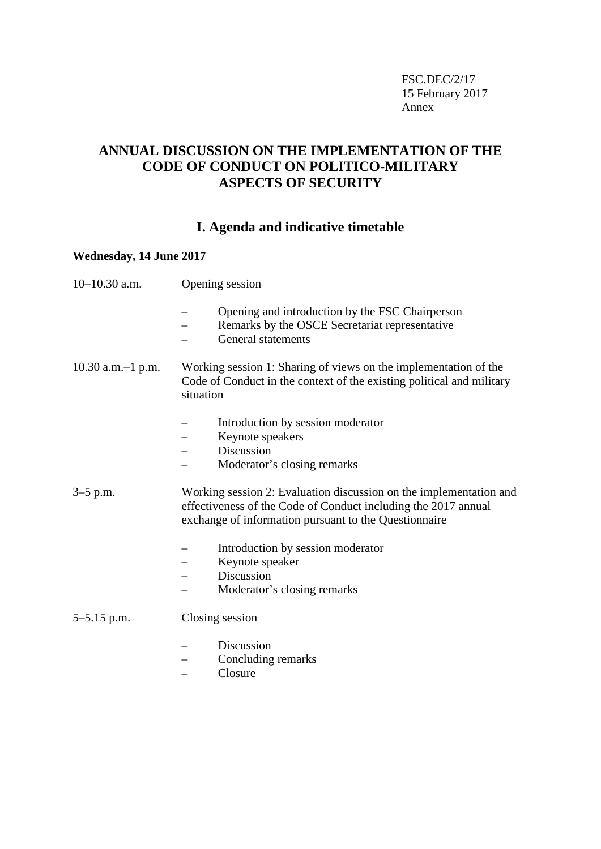FSC.DEC/2/17 15 February 2017 Annex

# **ANNUAL DISCUSSION ON THE IMPLEMENTATION OF THE CODE OF CONDUCT ON POLITICO-MILITARY ASPECTS OF SECURITY**

# **I. Agenda and indicative timetable**

## **Wednesday, 14 June 2017**

| $10-10.30$ a.m.        | Opening session                                                                                                                                                                               |
|------------------------|-----------------------------------------------------------------------------------------------------------------------------------------------------------------------------------------------|
|                        | Opening and introduction by the FSC Chairperson<br>Remarks by the OSCE Secretariat representative<br>General statements                                                                       |
| $10.30$ a.m. $-1$ p.m. | Working session 1: Sharing of views on the implementation of the<br>Code of Conduct in the context of the existing political and military<br>situation                                        |
|                        | Introduction by session moderator<br>Keynote speakers<br>Discussion<br>Moderator's closing remarks                                                                                            |
| 3–5 p.m.               | Working session 2: Evaluation discussion on the implementation and<br>effectiveness of the Code of Conduct including the 2017 annual<br>exchange of information pursuant to the Questionnaire |
|                        | Introduction by session moderator<br>Keynote speaker<br>Discussion<br>Moderator's closing remarks                                                                                             |
| $5 - 5.15$ p.m.        | Closing session                                                                                                                                                                               |
|                        | Discussion<br>Concluding remarks                                                                                                                                                              |

– Closure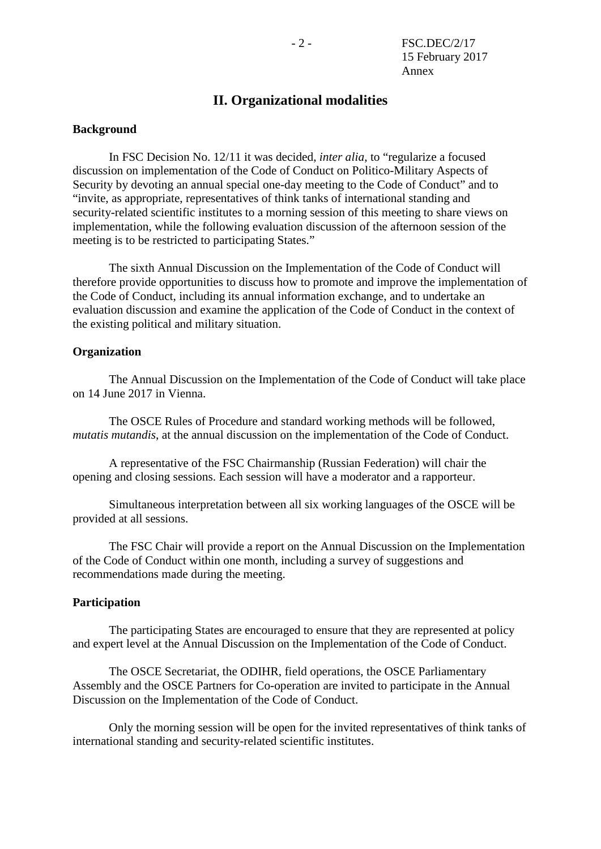## **II. Organizational modalities**

#### **Background**

In FSC Decision No. 12/11 it was decided, *inter alia*, to "regularize a focused discussion on implementation of the Code of Conduct on Politico-Military Aspects of Security by devoting an annual special one-day meeting to the Code of Conduct" and to "invite, as appropriate, representatives of think tanks of international standing and security-related scientific institutes to a morning session of this meeting to share views on implementation, while the following evaluation discussion of the afternoon session of the meeting is to be restricted to participating States."

The sixth Annual Discussion on the Implementation of the Code of Conduct will therefore provide opportunities to discuss how to promote and improve the implementation of the Code of Conduct, including its annual information exchange, and to undertake an evaluation discussion and examine the application of the Code of Conduct in the context of the existing political and military situation.

#### **Organization**

The Annual Discussion on the Implementation of the Code of Conduct will take place on 14 June 2017 in Vienna.

The OSCE Rules of Procedure and standard working methods will be followed, *mutatis mutandis*, at the annual discussion on the implementation of the Code of Conduct.

A representative of the FSC Chairmanship (Russian Federation) will chair the opening and closing sessions. Each session will have a moderator and a rapporteur.

Simultaneous interpretation between all six working languages of the OSCE will be provided at all sessions.

The FSC Chair will provide a report on the Annual Discussion on the Implementation of the Code of Conduct within one month, including a survey of suggestions and recommendations made during the meeting.

#### **Participation**

The participating States are encouraged to ensure that they are represented at policy and expert level at the Annual Discussion on the Implementation of the Code of Conduct.

The OSCE Secretariat, the ODIHR, field operations, the OSCE Parliamentary Assembly and the OSCE Partners for Co-operation are invited to participate in the Annual Discussion on the Implementation of the Code of Conduct.

Only the morning session will be open for the invited representatives of think tanks of international standing and security-related scientific institutes.